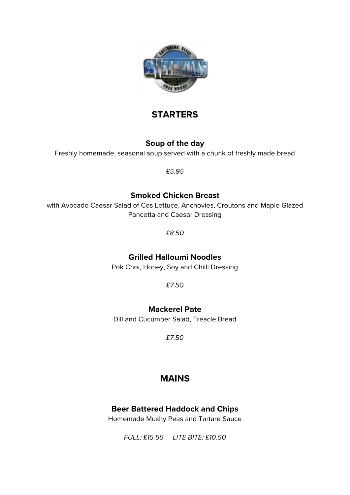

# **STARTERS**

## **Soup of the day**

Freshly homemade, seasonal soup served with a chunk of freshly made bread

*£5.95*

## **Smoked Chicken Breast**

with Avocado Caesar Salad of Cos Lettuce, Anchovies, Croutons and Maple Glazed Pancetta and Caesar Dressing

*£8.50*

## **Grilled Halloumi Noodles**

Pok Choi, Honey, Soy and Chilli Dressing

*£7.50*

## **Mackerel Pate**

Dill and Cucumber Salad, Treacle Bread

*£7.50*

# **MAINS**

## **Beer Battered Haddock and Chips**

Homemade Mushy Peas and Tartare Sauce

*FULL: £15.55 LITE BITE: £10.50*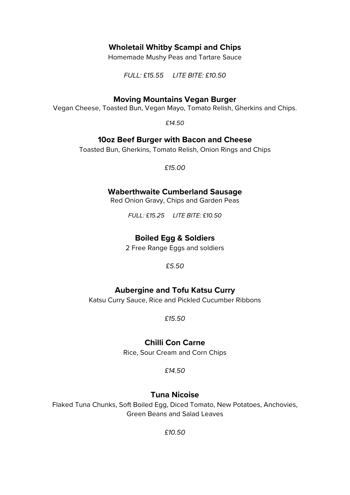### **Wholetail Whitby Scampi and Chips**

Homemade Mushy Peas and Tartare Sauce

*FULL: £15.55 LITE BITE: £10.50*

#### **Moving Mountains Vegan Burger**

Vegan Cheese, Toasted Bun, Vegan Mayo, Tomato Relish, Gherkins and Chips.

*£14.50*

#### **10oz Beef Burger with Bacon and Cheese**

Toasted Bun, Gherkins, Tomato Relish, Onion Rings and Chips

*£15.00*

#### **Waberthwaite Cumberland Sausage**

Red Onion Gravy, Chips and Garden Peas

*FULL: £15.25 LITE BITE: £10.50*

#### **Boiled Egg & Soldiers**

2 Free Range Eggs and soldiers

*£5.50*

#### **Aubergine and Tofu Katsu Curry**

Katsu Curry Sauce, Rice and Pickled Cucumber Ribbons

*£15.50*

#### **Chilli Con Carne**

Rice, Sour Cream and Corn Chips

*£14.50*

#### **Tuna Nicoise**

Flaked Tuna Chunks, Soft Boiled Egg, Diced Tomato, New Potatoes, Anchovies, Green Beans and Salad Leaves

*£10.50*